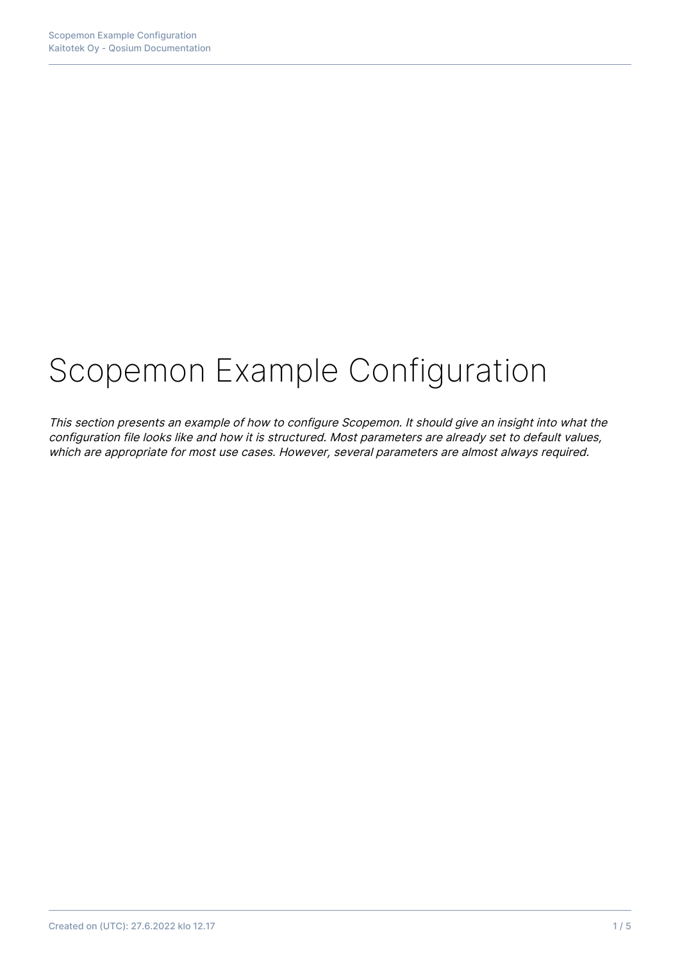# Scopemon Example Configuration

This section presents an example of how to configure Scopemon. It should give an insight into what the configuration file looks like and how it is structured. Most parameters are already set to default values, which are appropriate for most use cases. However, several parameters are almost always required.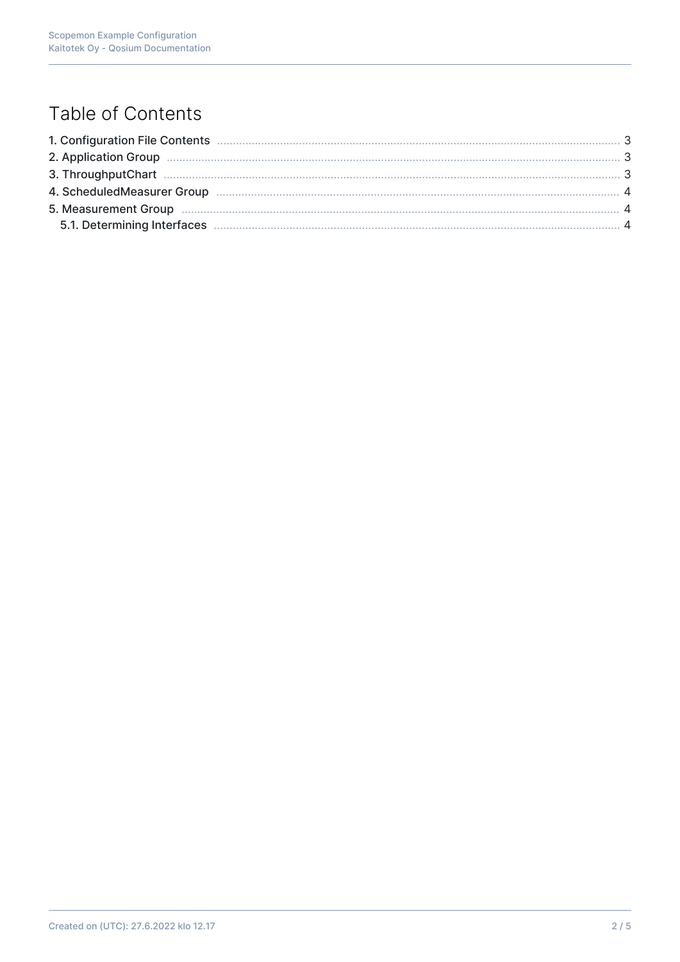# Table of Contents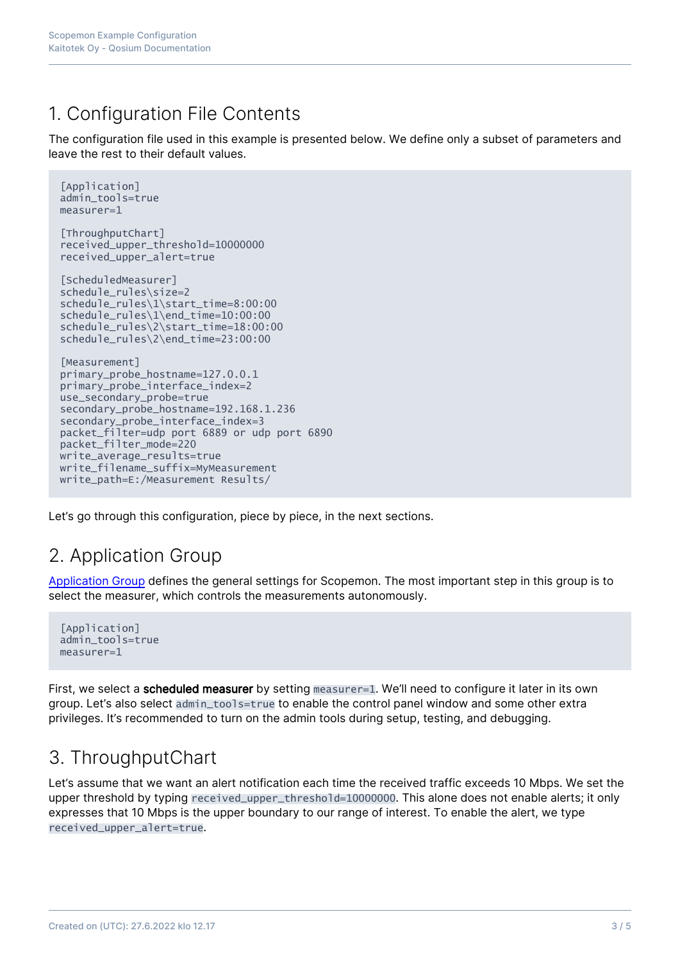### 1. Configuration File Contents

The configuration file used in this example is presented below. We define only a subset of parameters and leave the rest to their default values.

```
[Application]
admin_tools=true
maxsum-1[ThroughputChart]
received_upper_threshold=10000000
received_upper_alert=true
[ScheduledMeasurer]
schedule_rules\size=2
schedule_rules\1\start_time=8:00:00
schedule_rules\1\end_time=10:00:00
schedule_rules\2\start_time=18:00:00
schedule_rules\2\end_time=23:00:00
[Measurement]
primary_probe_hostname=127.0.0.1
primary_probe_interface_index=2
use_secondary_probe=true
secondary_probe_hostname=192.168.1.236
secondary_probe_interface_index=3
packet filter=udp port 6889 or udp port 6890
packet_filter_mode=220
write_average_results=true
write_filename_suffix=MyMeasurement
write_path=E:/Measurement Results/
```
Let's go through this configuration, piece by piece, in the next sections.

# 2. Application Group

[Application Group](https://kaitotek.com/fi/resources/documentation/scopemon/configuration/parameter-reference/application) defines the general settings for Scopemon. The most important step in this group is to select the measurer, which controls the measurements autonomously.

```
[Application]
admin_tools=true
measurer=1
```
First, we select a **scheduled measurer** by setting measurer=1. We'll need to configure it later in its own group. Let's also select admin\_tools=true to enable the control panel window and some other extra privileges. It's recommended to turn on the admin tools during setup, testing, and debugging.

# 3. ThroughputChart

Let's assume that we want an alert notification each time the received traffic exceeds 10 Mbps. We set the upper threshold by typing received\_upper\_threshold=10000000. This alone does not enable alerts; it only expresses that 10 Mbps is the upper boundary to our range of interest. To enable the alert, we type received\_upper\_alert=true.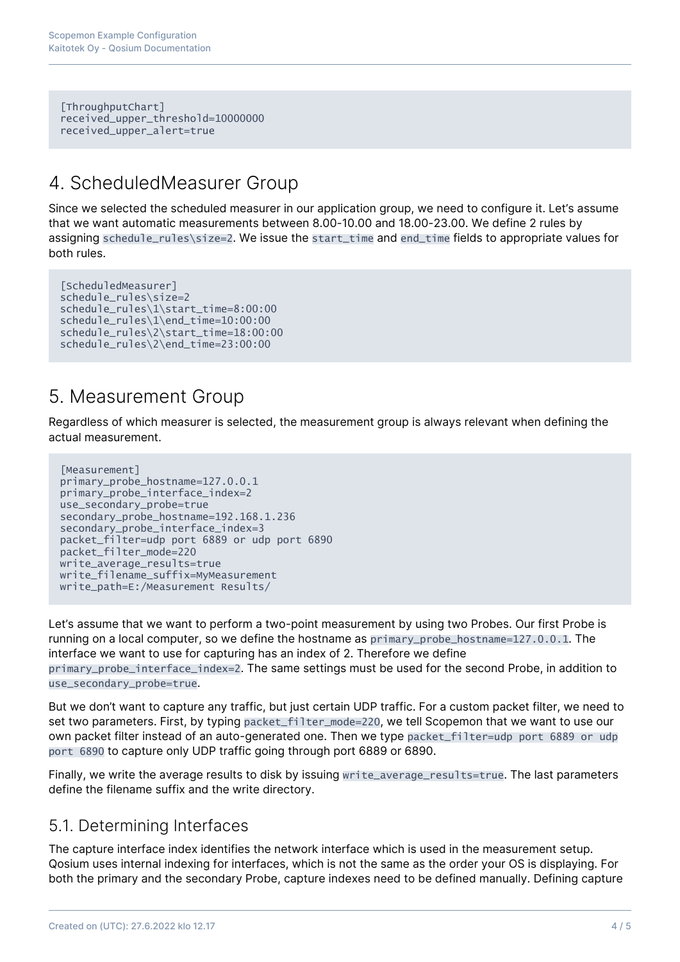[ThroughputChart] received\_upper\_threshold=10000000 received\_upper\_alert=true

#### 4. ScheduledMeasurer Group

Since we selected the scheduled measurer in our application group, we need to configure it. Let's assume that we want automatic measurements between 8.00-10.00 and 18.00-23.00. We define 2 rules by assigning schedule\_rules\size=2. We issue the start\_time and end\_time fields to appropriate values for both rules.

```
[ScheduledMeasurer]
schedule_rules\size=2
schedule_rules\1\start_time=8:00:00
schedule_rules\1\end_time=10:00:00
schedule_rules\2\start_time=18:00:00
schedule_rules\2\end_time=23:00:00
```
#### 5. Measurement Group

Regardless of which measurer is selected, the measurement group is always relevant when defining the actual measurement.

```
[Measurement]
primary_probe_hostname=127.0.0.1
primary_probe_interface_index=2
use_secondary_probe=true
secondary_probe_hostname=192.168.1.236
secondary_probe_interface_index=3
packet_filter=udp port 6889 or udp port 6890
packet_filter_mode=220
write_average_results=true
write_filename_suffix=MyMeasurement
write_path=E:/Measurement Results/
```
Let's assume that we want to perform a two-point measurement by using two Probes. Our first Probe is running on a local computer, so we define the hostname as primary\_probe\_hostname=127.0.0.1. The interface we want to use for capturing has an index of 2. Therefore we define primary\_probe\_interface\_index=2. The same settings must be used for the second Probe, in addition to use secondary probe=true.

But we don't want to capture any traffic, but just certain UDP traffic. For a custom packet filter, we need to set two parameters. First, by typing packet\_filter\_mode=220, we tell Scopemon that we want to use our own packet filter instead of an auto-generated one. Then we type packet\_filter=udp port 6889 or udp port 6890 to capture only UDP traffic going through port 6889 or 6890.

Finally, we write the average results to disk by issuing write\_average\_results=true. The last parameters define the filename suffix and the write directory.

#### 5.1. Determining Interfaces

The capture interface index identifies the network interface which is used in the measurement setup. Qosium uses internal indexing for interfaces, which is not the same as the order your OS is displaying. For both the primary and the secondary Probe, capture indexes need to be defined manually. Defining capture